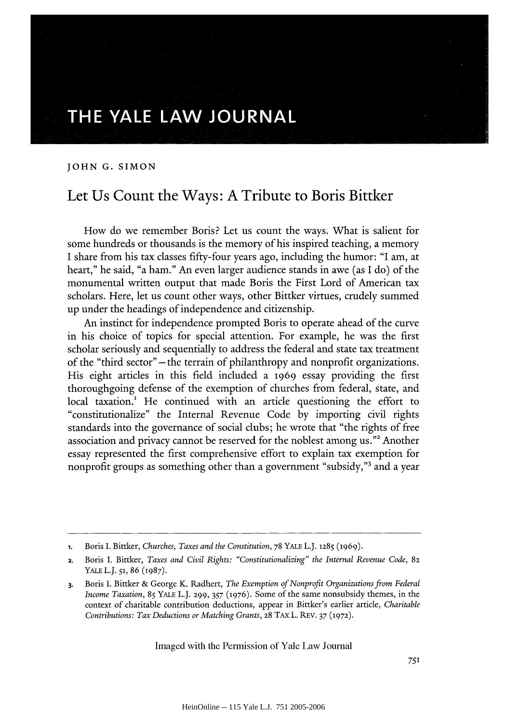## **THE YALE LAW JOURNAL**

**JOHN G. SIMON**

## Let Us Count the Ways: **A** Tribute to Boris Bittker

How do we remember Boris? Let us count the ways. What is salient for some hundreds or thousands is the memory of his inspired teaching, a memory I share from his tax classes fifty-four years ago, including the humor: "I am, at heart," he said, "a ham." An even larger audience stands in awe (as I do) of the monumental written output that made Boris the First Lord of American tax scholars. Here, let us count other ways, other Bittker virtues, crudely summed up under the headings of independence and citizenship.

An instinct for independence prompted Boris to operate ahead of the curve in his choice of topics for special attention. For example, he was the first scholar seriously and sequentially to address the federal and state tax treatment of the "third sector" -the terrain of philanthropy and nonprofit organizations. His eight articles in this field included a 1969 essay providing the first thoroughgoing defense of the exemption of churches from federal, state, and local taxation.<sup>1</sup> He continued with an article questioning the effort to "constitutionalize" the Internal Revenue Code by importing civil rights standards into the governance of social clubs; he wrote that "the rights of free association and privacy cannot be reserved for the noblest among us."2 Another essay represented the first comprehensive effort to explain tax exemption for nonprofit groups as something other than a government "subsidy,"3 and a year

**<sup>1.</sup>** Boris I. Bittker, *Churches, Taxes and the Constitution,* 78 YALE L.J. **1285 (1969).**

<sup>2.</sup> Boris I. Bittker, *Taxes and Civil Rights: "Constitutionalizing" the Internal Revenue Code,* **82** YALE L.J. *51,* 86 (1987).

**<sup>3.</sup>** Boris I. Bittker & George K. Radhert, *The Exemption of Nonprofit Organizations from Federal Income Taxation,* 85 YALE L.J. 299, *357* (1976). Some of the same nonsubsidy themes, in the context of charitable contribution deductions, appear in Bittker's earlier article, *Charitable Contributions: Tax Deductions or Matching Grants,* **28 TAX** L. REV. 37 **(1972).**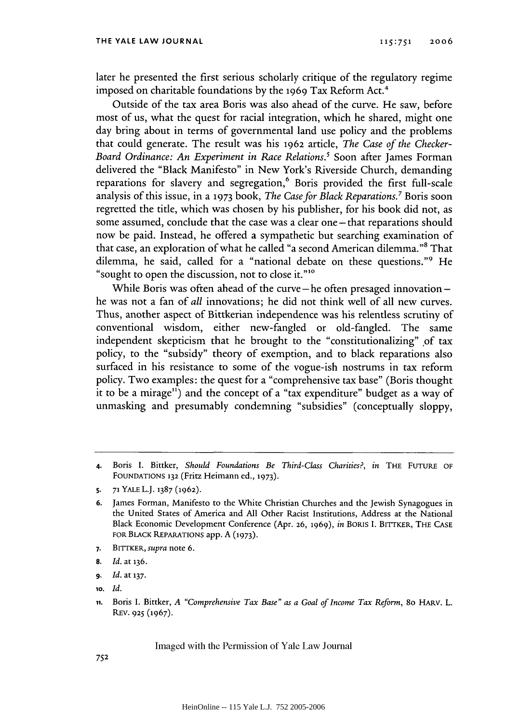later he presented the first serious scholarly critique of the regulatory regime imposed on charitable foundations by the 1969 Tax Reform Act.<sup>4</sup>

Outside of the tax area Boris was also ahead of the curve. He saw, before most of us, what the quest for racial integration, which he shared, might one day bring about in terms of governmental land use policy and the problems that could generate. The result was his 1962 article, *The Case of the Checker-Board Ordinance: An Experiment in Race Relations.'* Soon after James Forman delivered the "Black Manifesto" in New York's Riverside Church, demanding reparations for slavery and segregation,<sup>6</sup> Boris provided the first full-scale analysis of this issue, in a **1973** book, *The Case for Black Reparations.7* Boris soon regretted the title, which was chosen by his publisher, for his book did not, as some assumed, conclude that the case was a clear one - that reparations should now be paid. Instead, he offered a sympathetic but searching examination of that case, an exploration of what he called "a second American dilemma."8 That dilemma, he said, called for a "national debate on these questions."9 He "sought to open the discussion, not to close it."<sup>10</sup>

While Boris was often ahead of the curve  $-$  he often presaged innovation  $$ he was not a fan of *all* innovations; he did not think well of all new curves. Thus, another aspect of Bittkerian independence was his relentless scrutiny of conventional wisdom, either new-fangled or old-fangled. The same independent skepticism that he brought to the "constitutionalizing" of tax policy, to the "subsidy" theory of exemption, and to black reparations also surfaced in his resistance to some of the vogue-ish nostrums in tax reform policy. Two examples: the quest for a "comprehensive tax base" (Boris thought it to be a mirage") and the concept of a "tax expenditure" budget as a way of unmasking and presumably condemning "subsidies" (conceptually sloppy,

- **7.** BITTKER, supra note 6.
- **8.** *Id.* at 136.
- **9.** *Id.* at **137.**
- **10.** *Id.*

**<sup>4.</sup>** Boris I. Bittker, *Should Foundations Be Third-Class Charities?, in* THE **FUTURE** OF **FOUNDATIONS 132** (Fritz Heimann ed., **1973).**

**<sup>5.</sup> 71** YALE L.J. **1387 (1962).**

**<sup>6.</sup>** James Forman, Manifesto to the White Christian Churches and the Jewish Synagogues in the United States of America and All Other Racist Institutions, Address at the National Black Economic Development Conference (Apr. **26, 1969),** in BORIS **I.** BITTKER, THE **CASE** FOR BLACK REPARATIONS app. A **(1973).**

**ii.** Boris I. Bittker, *A "Comprehensive Tax Base" as a Goal of Income Tax Reform,* 80 HARV. L. REV. **925** (1967).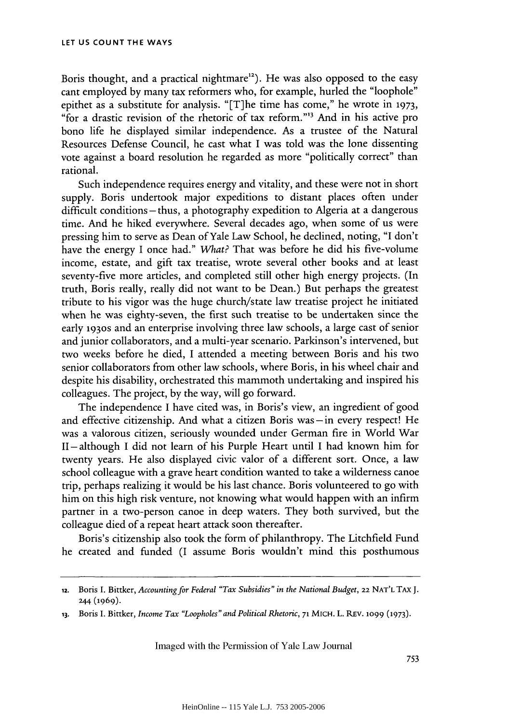Boris thought, and a practical nightmare<sup>12</sup>). He was also opposed to the easy cant employed by many tax reformers who, for example, hurled the "loophole" epithet as a substitute for analysis. "[T]he time has come," he wrote in **1973,** "for a drastic revision of the rhetoric of tax reform."'3 And in his active pro bono life he displayed similar independence. As a trustee of the Natural Resources Defense Council, he cast what I was told was the lone dissenting vote against a board resolution he regarded as more "politically correct" than rational.

Such independence requires energy and vitality, and these were not in short supply. Boris undertook major expeditions to distant places often under difficult conditions- thus, a photography expedition to Algeria at a dangerous time. And he hiked everywhere. Several decades ago, when some of us were pressing him to serve as Dean of Yale Law School, he declined, noting, "I don't have the energy I once had." What? That was before he did his five-volume income, estate, and gift tax treatise, wrote several other books and at least seventy-five more articles, and completed still other high energy projects. (In truth, Boris really, really did not want to be Dean.) But perhaps the greatest tribute to his vigor was the huge church/state law treatise project he initiated when he was eighty-seven, the first such treatise to be undertaken since the early 1930s and an enterprise involving three law schools, a large cast of senior and junior collaborators, and a multi-year scenario. Parkinson's intervened, but two weeks before he died, I attended a meeting between Boris and his two senior collaborators from other law schools, where Boris, in his wheel chair and despite his disability, orchestrated this mammoth undertaking and inspired his colleagues. The project, by the way, will go forward.

The independence I have cited was, in Boris's view, an ingredient of good and effective citizenship. And what a citizen Boris was **-in** every respect! He was a valorous citizen, seriously wounded under German fire in World War II **-** although I did not learn of his Purple Heart until I had known him for twenty years. He also displayed civic valor of a different sort. Once, a law school colleague with a grave heart condition wanted to take a wilderness canoe trip, perhaps realizing it would be his last chance. Boris volunteered to go with him on this high risk venture, not knowing what would happen with an infirm partner in a two-person canoe in deep waters. They both survived, but the colleague died of a repeat heart attack soon thereafter.

Boris's citizenship also took the form of philanthropy. The Litchfield Fund he created and funded (I assume Boris wouldn't mind this posthumous

<sup>12.</sup> Boris **I.** Bittker, *Accounting for Federal "Tax Subsidies" in the National Budget,* **22** NAT'L TAx **J.** 244 (1969).

**<sup>13.</sup>** Boris I. Bittker, *Income Tax "Loopholes" and Political Rhetoric,* **71 MICH.** L. **REv.** iO99 **(1973).**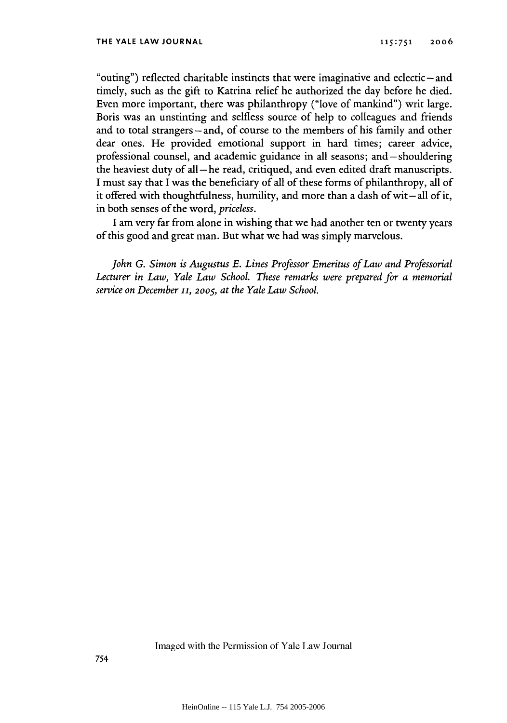"outing") reflected charitable instincts that were imaginative and eclectic – and timely, such as the gift to Katrina relief he authorized the day before he died. Even more important, there was philanthropy ("love of mankind") writ large. Boris was an unstinting and selfless source of help to colleagues and friends and to total strangers-and, of course to the members of his family and other dear ones. He provided emotional support in hard times; career advice, professional counsel, and academic guidance in all seasons; and-shouldering the heaviest duty of all **-he** read, critiqued, and even edited draft manuscripts. I must say that I was the beneficiary of all of these forms of philanthropy, all of it offered with thoughtfulness, humility, and more than a dash of wit-all of it, in both senses of the word, *priceless.*

I am very far from alone in wishing that we had another ten or twenty years of this good and great man. But what we had was simply marvelous.

*John G. Simon is Augustus E. Lines Professor Emeritus of Law and Professorial Lecturer in Law, Yale Law School. These remarks were prepared for a memorial service on December* **11,** 2oo5, *at the Yale Law School.*